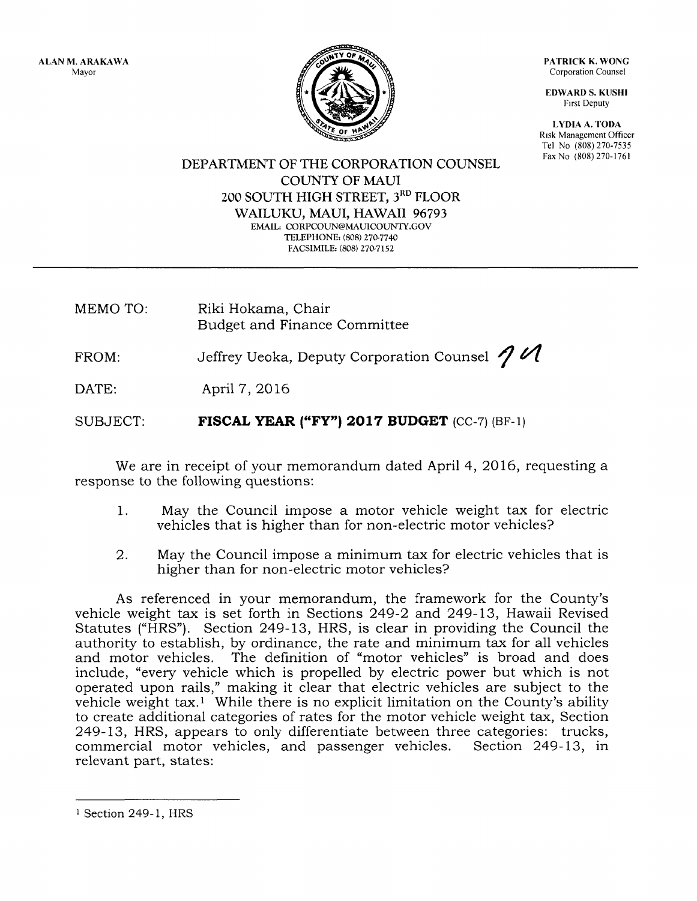ALAN M. ARAKAWA Mayor



PATRICK K, WONG Corporation Counsel

EDWARD S. KUSHI Frrst Deputy

LYDIA A. TODA Risk Management Officer Tel No (808) 270-7535 Fax No (808) 270-1761

DEPARTMENT OF THE CORPORATION COLINSEL COUNTY OF MAUI 2OO SOUTH HIGH STREET, 3RD FLOOR WAILUKU, MAUI, HAWAII 96793 EMAIL: CORPCOUN@MAUICOUNTY.GOV TELEPHONE: (808) 270-7740 FACSIMILE: (808) 270-7152

MEMO TO: Riki Hokama, Chair Budget and Finance Committee

FROM: Jeffrey Ueoka, Deputy Corporation Counsel  $\mathcal I$   $\mathcal A$ 

DATE: April 7,2016

SUBJECT: FISCAL YEAR ("FY") 2017 BUDGET (CC-7) (BF-1)

We are in receipt of your memorandum dated April 4, 2016, requesting a response to the following questions:

- 1. May the Council impose a motor vehicle weight tax for electric vehicles that is higher than for non-electric motor vehicles?
- 2. May the Council impose a minimum tax for electric vehicles that is higher than for non-electric motor vehicles?

As referenced in your memorandum, the framework for the County's vehicle weight tax is set forth in Sections 249-2 and 249-13, Hawaii Revised Statutes ("HRS"). Section 249-13, HRS, is clear in providing the Council the authority to establish, by ordinance, the rate and minimum tax for all vehicles and motor vehicles, The definition of "motor vehicles" is broad and does include, "every vehicle which is propelled by electric power but which is not operated upon rails," making it clear that electric vehicles are subject to the vehicle weight tax.1 While there is no explicit limitation on the County's ability to create additional categories of rates for the motor vehicle weight tax, Section 249-13, HRS, appears to only differentiate between three categories: trucks, commercial motor vehicles, and passenger vehicles. Section 249-13, in commercial motor vehicles, and passenger vehicles. relevant part, states:

<sup>&</sup>lt;sup>1</sup> Section 249-1, HRS